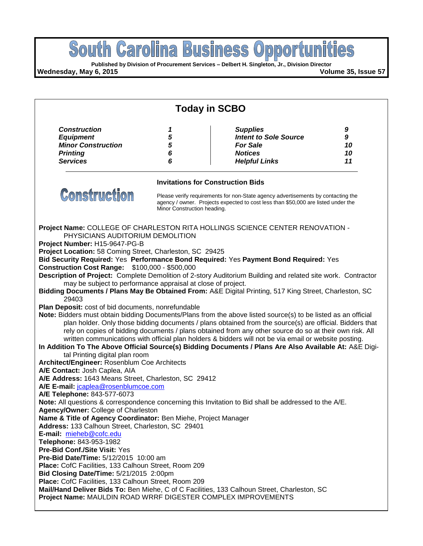

**Project Name:** MAULDIN ROAD WRRF DIGESTER COMPLEX IMPROVEMENTS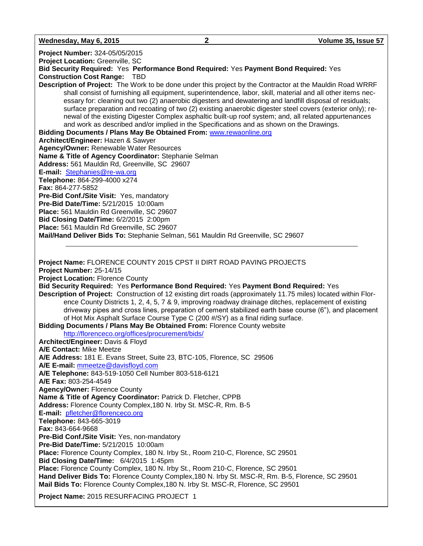**Wednesday, May 6, 2015 2 Volume 35, Issue 57**

**Project Number:** 324-05/05/2015

**Project Location:** Greenville, SC

**Bid Security Required:** Yes **Performance Bond Required:** Yes **Payment Bond Required:** Yes **Construction Cost Range:** TBD

**Description of Project:** The Work to be done under this project by the Contractor at the Mauldin Road WRRF shall consist of furnishing all equipment, superintendence, labor, skill, material and all other items necessary for: cleaning out two (2) anaerobic digesters and dewatering and landfill disposal of residuals; surface preparation and recoating of two (2) existing anaerobic digester steel covers (exterior only); renewal of the existing Digester Complex asphaltic built-up roof system; and, all related appurtenances and work as described and/or implied in the Specifications and as shown on the Drawings.

**Bidding Documents / Plans May Be Obtained From:** [www.rewaonline.org](http://www.rewaonline.org/)

**Architect/Engineer:** Hazen & Sawyer **Agency/Owner:** Renewable Water Resources

**Name & Title of Agency Coordinator:** Stephanie Selman **Address:** 561 Mauldin Rd, Greenville, SC 29607

**E-mail:** [Stephanies@re-wa.org](mailto:Stephanies@re-wa.org)

**Telephone:** 864-299-4000 x274

**Fax:** 864-277-5852

**Pre-Bid Conf./Site Visit:** Yes, mandatory

**Pre-Bid Date/Time:** 5/21/2015 10:00am

**Place:** 561 Mauldin Rd Greenville, SC 29607

**Bid Closing Date/Time:** 6/2/2015 2:00pm

**Place:** 561 Mauldin Rd Greenville, SC 29607

**Mail/Hand Deliver Bids To:** Stephanie Selman, 561 Mauldin Rd Greenville, SC 29607

**Project Name:** FLORENCE COUNTY 2015 CPST II DIRT ROAD PAVING PROJECTS **Project Number:** 25-14/15 **Project Location:** Florence County **Bid Security Required:** Yes **Performance Bond Required:** Yes **Payment Bond Required:** Yes **Description of Project:** Construction of 12 existing dirt roads (approximately 11.75 miles) located within Florence County Districts 1, 2, 4, 5, 7 & 9, improving roadway drainage ditches, replacement of existing driveway pipes and cross lines, preparation of cement stabilized earth base course (6"), and placement of Hot Mix Asphalt Surface Course Type C (200 #/SY) as a final riding surface. **Bidding Documents / Plans May Be Obtained From:** Florence County website <http://florenceco.org/offices/procurement/bids/> **Architect/Engineer:** Davis & Floyd **A/E Contact:** Mike Meetze **A/E Address:** 181 E. Evans Street, Suite 23, BTC-105, Florence, SC 29506 **A/E E-mail:** [mmeetze@davisfloyd.com](mailto:mmeetze@davisfloyd.com) **A/E Telephone:** 843-519-1050 Cell Number 803-518-6121 **A/E Fax:** 803-254-4549 **Agency/Owner:** Florence County **Name & Title of Agency Coordinator:** Patrick D. Fletcher, CPPB **Address:** Florence County Complex,180 N. Irby St. MSC-R, Rm. B-5 **E-mail:** [pfletcher@florenceco.org](mailto:pfletcher@florenceco.org) **Telephone:** 843-665-3019 **Fax:** 843-664-9668 **Pre-Bid Conf./Site Visit:** Yes, non-mandatory **Pre-Bid Date/Time:** 5/21/2015 10:00am **Place:** Florence County Complex, 180 N. Irby St., Room 210-C, Florence, SC 29501 **Bid Closing Date/Time:** 6/4/2015 1:45pm **Place:** Florence County Complex, 180 N. Irby St., Room 210-C, Florence, SC 29501 **Hand Deliver Bids To:** Florence County Complex,180 N. Irby St. MSC-R, Rm. B-5, Florence, SC 29501 **Mail Bids To:** Florence County Complex,180 N. Irby St. MSC-R, Florence, SC 29501

**Project Name:** 2015 RESURFACING PROJECT 1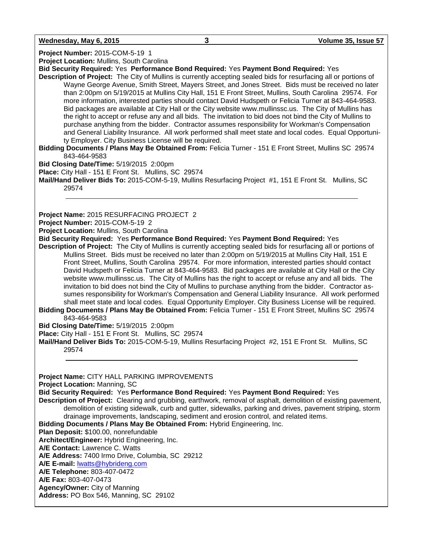**Wednesday, May 6, 2015 3 Volume 35, Issue 57**

**Project Number:** 2015-COM-5-19 1 **Project Location:** Mullins, South Carolina **Bid Security Required:** Yes **Performance Bond Required:** Yes **Payment Bond Required:** Yes **Description of Project:** The City of Mullins is currently accepting sealed bids for resurfacing all or portions of Wayne George Avenue, Smith Street, Mayers Street, and Jones Street. Bids must be received no later than 2:00pm on 5/19/2015 at Mullins City Hall, 151 E Front Street, Mullins, South Carolina 29574. For more information, interested parties should contact David Hudspeth or Felicia Turner at 843-464-9583. Bid packages are available at City Hall or the City website www.mullinssc.us. The City of Mullins has the right to accept or refuse any and all bids. The invitation to bid does not bind the City of Mullins to purchase anything from the bidder. Contractor assumes responsibility for Workman's Compensation and General Liability Insurance. All work performed shall meet state and local codes. Equal Opportunity Employer. City Business License will be required. **Bidding Documents / Plans May Be Obtained From:** Felicia Turner - 151 E Front Street, Mullins SC 29574 843-464-9583 **Bid Closing Date/Time:** 5/19/2015 2:00pm **Place:** City Hall - 151 E Front St. Mullins, SC 29574 **Mail/Hand Deliver Bids To:** 2015-COM-5-19, Mullins Resurfacing Project #1, 151 E Front St. Mullins, SC 29574 **Project Name:** 2015 RESURFACING PROJECT 2 **Project Number:** 2015-COM-5-19 2 **Project Location:** Mullins, South Carolina **Bid Security Required:** Yes **Performance Bond Required:** Yes **Payment Bond Required:** Yes **Description of Project:** The City of Mullins is currently accepting sealed bids for resurfacing all or portions of Mullins Street. Bids must be received no later than 2:00pm on 5/19/2015 at Mullins City Hall, 151 E Front Street, Mullins, South Carolina 29574. For more information, interested parties should contact David Hudspeth or Felicia Turner at 843-464-9583. Bid packages are available at City Hall or the City website www.mullinssc.us. The City of Mullins has the right to accept or refuse any and all bids. The invitation to bid does not bind the City of Mullins to purchase anything from the bidder. Contractor assumes responsibility for Workman's Compensation and General Liability Insurance. All work performed shall meet state and local codes. Equal Opportunity Employer. City Business License will be required. **Bidding Documents / Plans May Be Obtained From:** Felicia Turner - 151 E Front Street, Mullins SC 29574 843-464-9583 **Bid Closing Date/Time:** 5/19/2015 2:00pm **Place:** City Hall - 151 E Front St. Mullins, SC 29574 **Mail/Hand Deliver Bids To:** 2015-COM-5-19, Mullins Resurfacing Project #2, 151 E Front St. Mullins, SC 29574 **Project Name:** CITY HALL PARKING IMPROVEMENTS **Project Location:** Manning, SC **Bid Security Required:** Yes **Performance Bond Required:** Yes **Payment Bond Required:** Yes **Description of Project:** Clearing and grubbing, earthwork, removal of asphalt, demolition of existing pavement, demolition of existing sidewalk, curb and gutter, sidewalks, parking and drives, pavement striping, storm

drainage improvements, landscaping, sediment and erosion control, and related items. **Bidding Documents / Plans May Be Obtained From:** Hybrid Engineering, Inc.

**Plan Deposit:** \$100.00, nonrefundable

**Architect/Engineer:** Hybrid Engineering, Inc.

**A/E Contact:** Lawrence C. Watts

**A/E Address:** 7400 Irmo Drive, Columbia, SC 29212

**A/E E-mail:** [lwatts@hybrideng.com](mailto:lwatts@hybrideng.com)

**A/E Telephone:** 803-407-0472

**A/E Fax:** 803-407-0473

**Agency/Owner:** City of Manning

**Address:** PO Box 546, Manning, SC 29102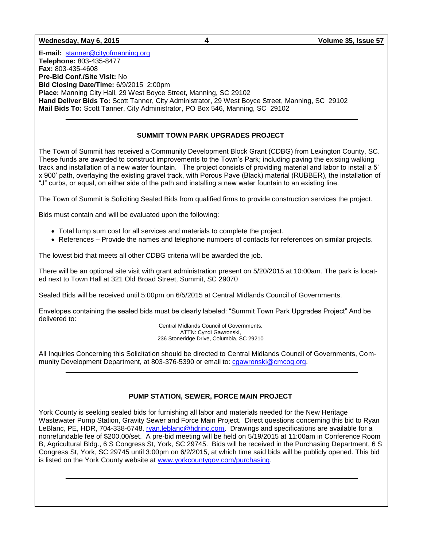#### **Wednesday, May 6, 2015 4 Volume 35, Issue 57**

**E-mail:** [stanner@cityofmanning.org](mailto:stanner@cityofmanning.org)  **Telephone:** 803-435-8477 **Fax:** 803-435-4608 **Pre-Bid Conf./Site Visit:** No **Bid Closing Date/Time:** 6/9/2015 2:00pm **Place:** Manning City Hall, 29 West Boyce Street, Manning, SC 29102 **Hand Deliver Bids To:** Scott Tanner, City Administrator, 29 West Boyce Street, Manning, SC 29102 **Mail Bids To:** Scott Tanner, City Administrator, PO Box 546, Manning, SC 29102

#### **SUMMIT TOWN PARK UPGRADES PROJECT**

The Town of Summit has received a Community Development Block Grant (CDBG) from Lexington County, SC. These funds are awarded to construct improvements to the Town's Park; including paving the existing walking track and installation of a new water fountain. The project consists of providing material and labor to install a 5' x 900' path, overlaying the existing gravel track, with Porous Pave (Black) material (RUBBER), the installation of "J" curbs, or equal, on either side of the path and installing a new water fountain to an existing line.

The Town of Summit is Soliciting Sealed Bids from qualified firms to provide construction services the project.

Bids must contain and will be evaluated upon the following:

- Total lump sum cost for all services and materials to complete the project.
- References Provide the names and telephone numbers of contacts for references on similar projects.

The lowest bid that meets all other CDBG criteria will be awarded the job.

There will be an optional site visit with grant administration present on 5/20/2015 at 10:00am. The park is located next to Town Hall at 321 Old Broad Street, Summit, SC 29070

Sealed Bids will be received until 5:00pm on 6/5/2015 at Central Midlands Council of Governments.

Envelopes containing the sealed bids must be clearly labeled: "Summit Town Park Upgrades Project" And be delivered to:

Central Midlands Council of Governments, ATTN: Cyndi Gawronski, 236 Stoneridge Drive, Columbia, SC 29210

All Inquiries Concerning this Solicitation should be directed to Central Midlands Council of Governments, Community Development Department, at 803-376-5390 or email to: [cgawronski@cmcog.org.](mailto:cgawronski@cmcog.org)

#### **PUMP STATION, SEWER, FORCE MAIN PROJECT**

York County is seeking sealed bids for furnishing all labor and materials needed for the New Heritage Wastewater Pump Station, Gravity Sewer and Force Main Project. Direct questions concerning this bid to Ryan LeBlanc, PE, HDR, 704-338-6748, [ryan.leblanc@hdrinc.com.](mailto:ryan.leblanc@hdrinc.com) Drawings and specifications are available for a nonrefundable fee of \$200.00/set. A pre-bid meeting will be held on 5/19/2015 at 11:00am in Conference Room B, Agricultural Bldg., 6 S Congress St, York, SC 29745. Bids will be received in the Purchasing Department, 6 S Congress St, York, SC 29745 until 3:00pm on 6/2/2015, at which time said bids will be publicly opened. This bid is listed on the York County website at [www.yorkcountygov.com/purchasing.](http://www.yorkcountygov.com/purchasing)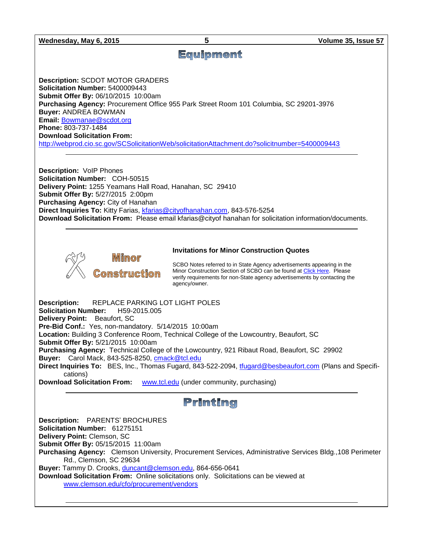# **Equipment**

**Description:** SCDOT MOTOR GRADERS **Solicitation Number:** 5400009443 **Submit Offer By:** 06/10/2015 10:00am **Purchasing Agency:** Procurement Office 955 Park Street Room 101 Columbia, SC 29201-3976 **Buyer:** ANDREA BOWMAN **Email:** [Bowmanae@scdot.org](mailto:Bowmanae@scdot.org) **Phone:** 803-737-1484 **Download Solicitation From:** 

<http://webprod.cio.sc.gov/SCSolicitationWeb/solicitationAttachment.do?solicitnumber=5400009443>

**Description:** VoIP Phones **Solicitation Number:** COH-50515 **Delivery Point:** 1255 Yeamans Hall Road, Hanahan, SC 29410 **Submit Offer By:** 5/27/2015 2:00pm **Purchasing Agency:** City of Hanahan **Direct Inquiries To:** Kitty Farias, [kfarias@cityofhanahan.com,](mailto:kfarias@cityofhanahan.com) 843-576-5254 **Download Solicitation From:** Please email kfarias@cityof hanahan for solicitation information/documents.



#### **Invitations for Minor Construction Quotes**

SCBO Notes referred to in State Agency advertisements appearing in the Minor Construction Section of SCBO can be found a[t Click Here.](http://www.mmo.sc.gov/PS/general/scbo/SCBO_Notes_060512.pdf) Please verify requirements for non-State agency advertisements by contacting the agency/owner.

**Description:** REPLACE PARKING LOT LIGHT POLES **Solicitation Number:** H59-2015.005 **Delivery Point:** Beaufort, SC **Pre-Bid Conf.:** Yes, non-mandatory. 5/14/2015 10:00am **Location:** Building 3 Conference Room, Technical College of the Lowcountry, Beaufort, SC **Submit Offer By:** 5/21/2015 10:00am **Purchasing Agency:** Technical College of the Lowcountry, 921 Ribaut Road, Beaufort, SC 29902 **Buyer:** Carol Mack, 843-525-8250, [cmack@tcl.edu](mailto:cmack@tcl.edu) **Direct Inquiries To:** BES, Inc., Thomas Fugard, 843-522-2094, [tfugard@besbeaufort.com](mailto:tfugard@besbeaufort.com) (Plans and Specifications)

**Download Solicitation From:** [www.tcl.edu](http://www.tcl.edu/) (under community, purchasing)

## Printing

**Description:** PARENTS' BROCHURES **Solicitation Number:** 61275151 **Delivery Point:** Clemson, SC **Submit Offer By:** 05/15/2015 11:00am **Purchasing Agency:** Clemson University, Procurement Services, Administrative Services Bldg.,108 Perimeter Rd., Clemson, SC 29634 **Buyer:** Tammy D. Crooks[, duncant@clemson.edu,](mailto:duncant@clemson.edu) 864-656-0641 **Download Solicitation From:** Online solicitations only. Solicitations can be viewed at [www.clemson.edu/cfo/procurement/vendors](http://www.clemson.edu/cfo/procurement/vendors)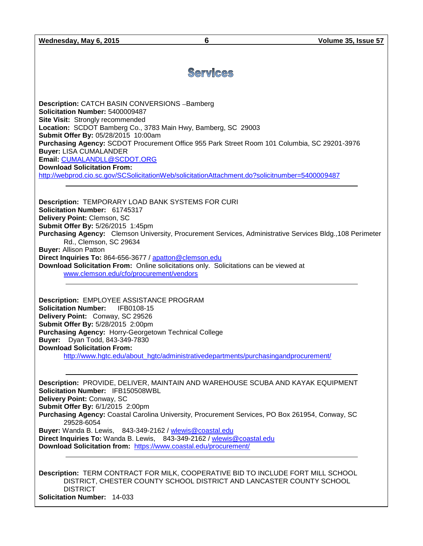# Services

**Description:** CATCH BASIN CONVERSIONS - Bamberg **Solicitation Number:** 5400009487 **Site Visit:** Strongly recommended **Location:** SCDOT Bamberg Co., 3783 Main Hwy, Bamberg, SC 29003 **Submit Offer By:** 05/28/2015 10:00am **Purchasing Agency:** SCDOT Procurement Office 955 Park Street Room 101 Columbia, SC 29201-3976 **Buyer:** LISA CUMALANDER **Email:** [CUMALANDLL@SCDOT.ORG](mailto:CUMALANDLL@SCDOT.ORG) **Download Solicitation From:** <http://webprod.cio.sc.gov/SCSolicitationWeb/solicitationAttachment.do?solicitnumber=5400009487>

**Description:** TEMPORARY LOAD BANK SYSTEMS FOR CURI **Solicitation Number:** 61745317 **Delivery Point:** Clemson, SC **Submit Offer By:** 5/26/2015 1:45pm **Purchasing Agency:** Clemson University, Procurement Services, Administrative Services Bldg.,108 Perimeter Rd., Clemson, SC 29634 **Buyer:** Allison Patton **Direct Inquiries To:** 864-656-3677 / [apatton@clemson.edu](mailto:apatton@clemson.edu) **Download Solicitation From:** Online solicitations only. Solicitations can be viewed at [www.clemson.edu/cfo/procurement/vendors](http://www.clemson.edu/cfo/procurement/vendors)

**Description:** EMPLOYEE ASSISTANCE PROGRAM **Solicitation Number:** IFB0108-15 **Delivery Point:** Conway, SC 29526 **Submit Offer By:** 5/28/2015 2:00pm **Purchasing Agency:** Horry-Georgetown Technical College **Buyer:** Dyan Todd, 843-349-7830 **Download Solicitation From:** [http://www.hgtc.edu/about\\_hgtc/administrativedepartments/purchasingandprocurement/](http://www.hgtc.edu/about_hgtc/administrativedepartments/purchasingandprocurement/)

**Description:** PROVIDE, DELIVER, MAINTAIN AND WAREHOUSE SCUBA AND KAYAK EQUIPMENT **Solicitation Number:** IFB150508WBL **Delivery Point:** Conway, SC **Submit Offer By:** 6/1/2015 2:00pm **Purchasing Agency:** Coastal Carolina University, Procurement Services, PO Box 261954, Conway, SC 29528-6054 **Buyer:** Wanda B. Lewis, 843-349-2162 / [wlewis@coastal.edu](mailto:wlewis@coastal.edu) **Direct Inquiries To:** Wanda B. Lewis, 843-349-2162 / [wlewis@coastal.edu](mailto:wlewis@coastal.edu) **Download Solicitation from:** <https://www.coastal.edu/procurement/>

**Description:** TERM CONTRACT FOR MILK, COOPERATIVE BID TO INCLUDE FORT MILL SCHOOL DISTRICT, CHESTER COUNTY SCHOOL DISTRICT AND LANCASTER COUNTY SCHOOL **DISTRICT Solicitation Number:** 14-033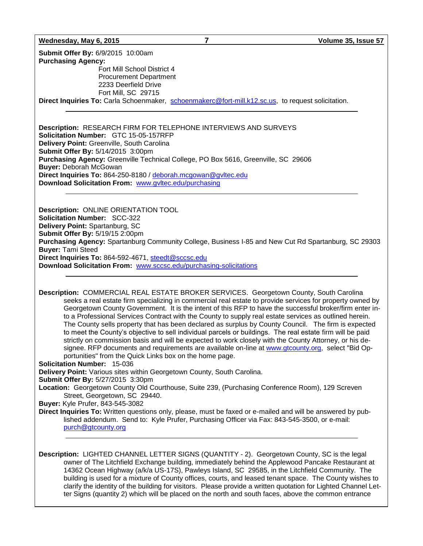#### **Wednesday, May 6, 2015 7 Volume 35, Issue 57**

**Submit Offer By:** 6/9/2015 10:00am **Purchasing Agency:** Fort Mill School District 4 Procurement Department 2233 Deerfield Drive Fort Mill, SC 29715 **Direct Inquiries To:** Carla Schoenmaker, [schoenmakerc@fort-mill.k12.sc.us,](mailto:schoenmakerc@fort-mill.k12.sc.us) to request solicitation.

**Description:** RESEARCH FIRM FOR TELEPHONE INTERVIEWS AND SURVEYS **Solicitation Number:** GTC 15-05-157RFP **Delivery Point:** Greenville, South Carolina **Submit Offer By:** 5/14/2015 3:00pm **Purchasing Agency:** Greenville Technical College, PO Box 5616, Greenville, SC 29606 **Buyer:** Deborah McGowan **Direct Inquiries To:** 864-250-8180 / [deborah.mcgowan@gvltec.edu](mailto:deborah.mcgowan@gvltec.edu) **Download Solicitation From:** [www.gvltec.edu/purchasing](http://www.gvltec.edu/purchasing)

**Description:** ONLINE ORIENTATION TOOL **Solicitation Number:** SCC-322 **Delivery Point:** Spartanburg, SC **Submit Offer By:** 5/19/15 2:00pm **Purchasing Agency:** Spartanburg Community College, Business I-85 and New Cut Rd Spartanburg, SC 29303 **Buyer:** Tami Steed **Direct Inquiries To:** 864-592-4671, [steedt@sccsc.edu](mailto:steedt@sccsc.edu) **Download Solicitation From:** [www.sccsc.edu/purchasing-solicitations](http://www.sccsc.edu/purchasing-solicitations)

**Description:** COMMERCIAL REAL ESTATE BROKER SERVICES. Georgetown County, South Carolina seeks a real estate firm specializing in commercial real estate to provide services for property owned by Georgetown County Government. It is the intent of this RFP to have the successful broker/firm enter into a Professional Services Contract with the County to supply real estate services as outlined herein. The County sells property that has been declared as surplus by County Council. The firm is expected to meet the County's objective to sell individual parcels or buildings. The real estate firm will be paid strictly on commission basis and will be expected to work closely with the County Attorney, or his designee. RFP documents and requirements are available on-line at [www.gtcounty.org,](http://www.gtcounty.org/) select "Bid Opportunities" from the Quick Links box on the home page.

**Solicitation Number:** 15-036

**Delivery Point:** Various sites within Georgetown County, South Carolina.

**Submit Offer By:** 5/27/2015 3:30pm

**Location:** Georgetown County Old Courthouse, Suite 239, (Purchasing Conference Room), 129 Screven Street, Georgetown, SC 29440.

**Buyer:** Kyle Prufer, 843-545-3082

**Direct Inquiries To:** Written questions only, please, must be faxed or e-mailed and will be answered by published addendum. Send to: Kyle Prufer, Purchasing Officer via Fax: 843-545-3500, or e-mail: [purch@gtcounty.org](mailto:purch@gtcounty.org)

**Description:** LIGHTED CHANNEL LETTER SIGNS (QUANTITY - 2). Georgetown County, SC is the legal owner of The Litchfield Exchange building, immediately behind the Applewood Pancake Restaurant at 14362 Ocean Highway (a/k/a US-17S), Pawleys Island, SC 29585, in the Litchfield Community. The building is used for a mixture of County offices, courts, and leased tenant space. The County wishes to clarify the identity of the building for visitors. Please provide a written quotation for Lighted Channel Letter Signs (quantity 2) which will be placed on the north and south faces, above the common entrance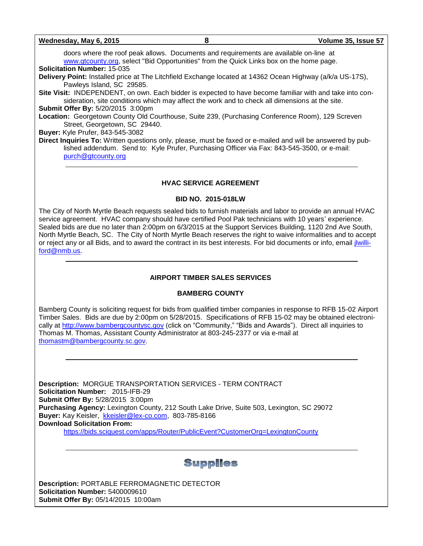| Wednesday, May 6, 2015<br>8                                                                                                                                                                                                                     | Volume 35, Issue 57 |
|-------------------------------------------------------------------------------------------------------------------------------------------------------------------------------------------------------------------------------------------------|---------------------|
| doors where the roof peak allows. Documents and requirements are available on-line at<br>www.gtcounty.org, select "Bid Opportunities" from the Quick Links box on the home page.                                                                |                     |
| <b>Solicitation Number: 15-035</b>                                                                                                                                                                                                              |                     |
| Delivery Point: Installed price at The Litchfield Exchange located at 14362 Ocean Highway (a/k/a US-17S),<br>Pawleys Island, SC 29585.                                                                                                          |                     |
| Site Visit: INDEPENDENT, on own. Each bidder is expected to have become familiar with and take into con-<br>sideration, site conditions which may affect the work and to check all dimensions at the site.<br>Submit Offer By: 5/20/2015 3:00pm |                     |
| Location: Georgetown County Old Courthouse, Suite 239, (Purchasing Conference Room), 129 Screven<br>Street, Georgetown, SC 29440.                                                                                                               |                     |
| Buyer: Kyle Prufer, 843-545-3082                                                                                                                                                                                                                |                     |
| Direct Inquiries To: Written questions only, please, must be faxed or e-mailed and will be answered by pub-<br>lished addendum. Send to: Kyle Prufer, Purchasing Officer via Fax: 843-545-3500, or e-mail:<br>purch@gtcounty.org                |                     |

#### **HVAC SERVICE AGREEMENT**

#### **BID NO. 2015-018LW**

The City of North Myrtle Beach requests sealed bids to furnish materials and labor to provide an annual HVAC service agreement. HVAC company should have certified Pool Pak technicians with 10 years' experience. Sealed bids are due no later than 2:00pm on 6/3/2015 at the Support Services Building, 1120 2nd Ave South, North Myrtle Beach, SC. The City of North Myrtle Beach reserves the right to waive informalities and to accept or reject any or all Bids, and to award the contract in its best interests. For bid documents or info, email [jlwilli](mailto:jlwilliford@nmb.us)[ford@nmb.us.](mailto:jlwilliford@nmb.us)

### **AIRPORT TIMBER SALES SERVICES**

#### **BAMBERG COUNTY**

Bamberg County is soliciting request for bids from qualified timber companies in response to RFB 15-02 Airport Timber Sales. Bids are due by 2:00pm on 5/28/2015. Specifications of RFB 15-02 may be obtained electronically at [http://www.bambergcountysc.gov](http://www.bambergcountysc.gov/) (click on "Community," "Bids and Awards"). Direct all inquiries to Thomas M. Thomas, Assistant County Administrator at 803-245-2377 or via e-mail at [thomastm@bambergcounty.sc.gov.](mailto:thomastm@bambergcounty.sc.gov)

**Description:** MORGUE TRANSPORTATION SERVICES - TERM CONTRACT **Solicitation Number:** 2015-IFB-29 **Submit Offer By:** 5/28/2015 3:00pm **Purchasing Agency:** Lexington County, 212 South Lake Drive, Suite 503, Lexington, SC 29072 **Buyer:** Kay Keisler, [kkeisler@lex-co.com,](mailto:kkeisler@lex-co.com) 803-785-8166 **Download Solicitation From:** <https://bids.sciquest.com/apps/Router/PublicEvent?CustomerOrg=LexingtonCounty>

Supplies

**Description:** PORTABLE FERROMAGNETIC DETECTOR **Solicitation Number:** 5400009610 **Submit Offer By:** 05/14/2015 10:00am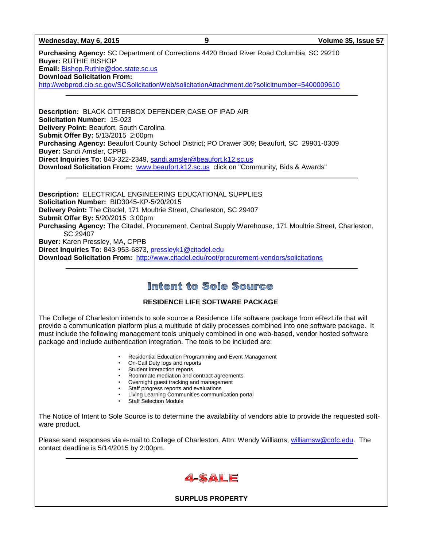**Wednesday, May 6, 2015 9 Volume 35, Issue 57**

**Purchasing Agency:** SC Department of Corrections 4420 Broad River Road Columbia, SC 29210 **Buyer:** RUTHIE BISHOP **Email:** [Bishop.Ruthie@doc.state.sc.us](mailto:Bishop.Ruthie@doc.state.sc.us) **Download Solicitation From:**  <http://webprod.cio.sc.gov/SCSolicitationWeb/solicitationAttachment.do?solicitnumber=5400009610>

**Description:** BLACK OTTERBOX DEFENDER CASE OF iPAD AIR **Solicitation Number:** 15-023 **Delivery Point:** Beaufort, South Carolina **Submit Offer By:** 5/13/2015 2:00pm **Purchasing Agency:** Beaufort County School District; PO Drawer 309; Beaufort, SC 29901-0309 **Buyer:** Sandi Amsler, CPPB **Direct Inquiries To:** 843-322-2349, [sandi.amsler@beaufort.k12.sc.us](mailto:sandi.amsler@beaufort.k12.sc.us) **Download Solicitation From:** [www.beaufort.k12.sc.us](http://www.beaufort.k12.sc.us/) click on "Community, Bids & Awards"

**Description:** ELECTRICAL ENGINEERING EDUCATIONAL SUPPLIES **Solicitation Number:** BID3045-KP-5/20/2015 **Delivery Point:** The Citadel, 171 Moultrie Street, Charleston, SC 29407 **Submit Offer By:** 5/20/2015 3:00pm **Purchasing Agency:** The Citadel, Procurement, Central Supply Warehouse, 171 Moultrie Street, Charleston, SC 29407 **Buyer:** Karen Pressley, MA, CPPB **Direct Inquiries To:** 843-953-6873, [pressleyk1@citadel.edu](mailto:pressleyk1@citadel.edu) **Download Solicitation From:** <http://www.citadel.edu/root/procurement-vendors/solicitations>

## Intent to Sole Source

## **RESIDENCE LIFE SOFTWARE PACKAGE**

The College of Charleston intends to sole source a Residence Life software package from eRezLife that will provide a communication platform plus a multitude of daily processes combined into one software package. It must include the following management tools uniquely combined in one web-based, vendor hosted software package and include authentication integration. The tools to be included are:

- Residential Education Programming and Event Management
- On-Call Duty logs and reports
- Student interaction reports
- Roommate mediation and contract agreements
- Overnight guest tracking and management
- **Staff progress reports and evaluations**
- Living Learning Communities communication portal
- Staff Selection Module

The Notice of Intent to Sole Source is to determine the availability of vendors able to provide the requested software product.

Please send responses via e-mail to College of Charleston, Attn: Wendy Williams, [williamsw@cofc.edu.](mailto:williamsw@cofc.edu) The contact deadline is 5/14/2015 by 2:00pm.



**SURPLUS PROPERTY**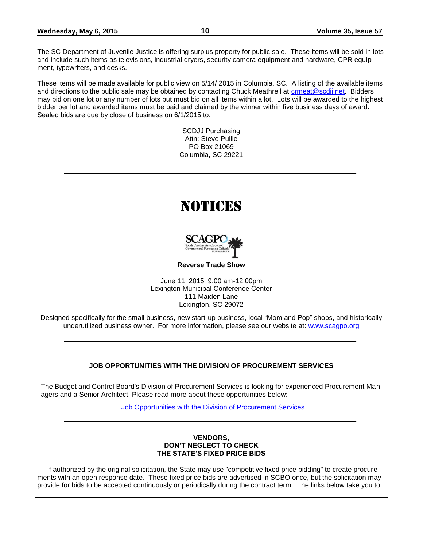| Wednesday, May 6, 2015 |  |  |  |  |  |
|------------------------|--|--|--|--|--|
|------------------------|--|--|--|--|--|

The SC Department of Juvenile Justice is offering surplus property for public sale. These items will be sold in lots and include such items as televisions, industrial dryers, security camera equipment and hardware, CPR equipment, typewriters, and desks.

These items will be made available for public view on 5/14/ 2015 in Columbia, SC. A listing of the available items and directions to the public sale may be obtained by contacting Chuck Meathrell at [crmeat@scdjj.net.](mailto:crmeat@scdjj.net) Bidders may bid on one lot or any number of lots but must bid on all items within a lot. Lots will be awarded to the highest bidder per lot and awarded items must be paid and claimed by the winner within five business days of award. Sealed bids are due by close of business on 6/1/2015 to:

> SCDJJ Purchasing Attn: Steve Pullie PO Box 21069 Columbia, SC 29221

# NOTICES



**Reverse Trade Show**

June 11, 2015 9:00 am-12:00pm Lexington Municipal Conference Center 111 Maiden Lane Lexington, SC 29072

Designed specifically for the small business, new start-up business, local "Mom and Pop" shops, and historically underutilized business owner. For more information, please see our website at: [www.scagpo.org](http://www.scagpo.org/)

## **JOB OPPORTUNITIES WITH THE DIVISION OF PROCUREMENT SERVICES**

The Budget and Control Board's Division of Procurement Services is looking for experienced Procurement Managers and a Senior Architect. Please read more about these opportunities below:

[Job Opportunities with the Division of Procurement Services](http://procurement.sc.gov/webfiles/MMO_scbo/SCBO%20Online/DPS_procurement_opportunities.pdf)

#### **VENDORS, DON'T NEGLECT TO CHECK THE STATE'S FIXED PRICE BIDS**

If authorized by the original solicitation, the State may use "competitive fixed price bidding" to create procurements with an open response date. These fixed price bids are advertised in SCBO once, but the solicitation may provide for bids to be accepted continuously or periodically during the contract term. The links below take you to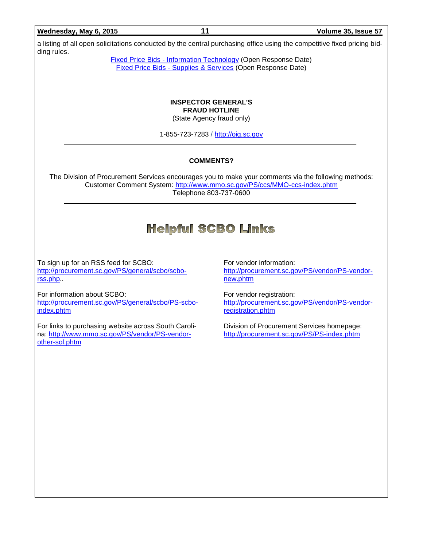#### **Wednesday, May 6, 2015 11 Volume 35, Issue 57**

a listing of all open solicitations conducted by the central purchasing office using the competitive fixed pricing bidding rules.

> Fixed Price Bids - [Information Technology](http://www.mmo.sc.gov/PS/vendor/PS-vendor-fixed-price-bids-it.phtm) (Open Response Date) Fixed Price Bids - [Supplies & Services](http://www.mmo.sc.gov/PS/vendor/PS-vendor-fixed-price-bids-ss.phtm) (Open Response Date)

#### **INSPECTOR GENERAL'S FRAUD HOTLINE** (State Agency fraud only)

1-855-723-7283 / [http://oig.sc.gov](http://oig.sc.gov/)

#### **COMMENTS?**

The Division of Procurement Services encourages you to make your comments via the following methods: Customer Comment System:<http://www.mmo.sc.gov/PS/ccs/MMO-ccs-index.phtm> Telephone 803-737-0600

## **Helpful SCBO Links**

To sign up for an RSS feed for SCBO: [http://procurement.sc.gov/PS/general/scbo/scbo](http://procurement.sc.gov/PS/general/scbo/scbo-rss.php)[rss.php.](http://procurement.sc.gov/PS/general/scbo/scbo-rss.php).

For information about SCBO: [http://procurement.sc.gov/PS/general/scbo/PS-scbo](http://procurement.sc.gov/PS/general/scbo/PS-scbo-index.phtm)[index.phtm](http://procurement.sc.gov/PS/general/scbo/PS-scbo-index.phtm)

For links to purchasing website across South Carolina: [http://www.mmo.sc.gov/PS/vendor/PS-vendor](http://www.mmo.sc.gov/PS/vendor/PS-vendor-other-sol.phtm)[other-sol.phtm](http://www.mmo.sc.gov/PS/vendor/PS-vendor-other-sol.phtm)

For vendor information: [http://procurement.sc.gov/PS/vendor/PS-vendor](http://procurement.sc.gov/PS/vendor/PS-vendor-new.phtm)[new.phtm](http://procurement.sc.gov/PS/vendor/PS-vendor-new.phtm)

For vendor registration: [http://procurement.sc.gov/PS/vendor/PS-vendor](http://procurement.sc.gov/PS/vendor/PS-vendor-registration.phtm)[registration.phtm](http://procurement.sc.gov/PS/vendor/PS-vendor-registration.phtm)

Division of Procurement Services homepage: <http://procurement.sc.gov/PS/PS-index.phtm>